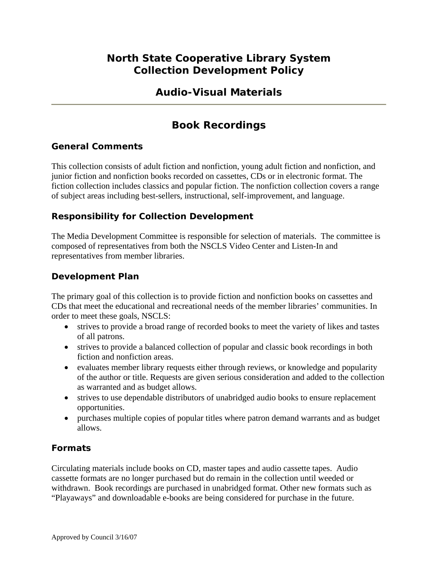## **North State Cooperative Library System Collection Development Policy**

## **Audio-Visual Materials**

# **Book Recordings**

### **General Comments**

This collection consists of adult fiction and nonfiction, young adult fiction and nonfiction, and junior fiction and nonfiction books recorded on cassettes, CDs or in electronic format. The fiction collection includes classics and popular fiction. The nonfiction collection covers a range of subject areas including best-sellers, instructional, self-improvement, and language.

## **Responsibility for Collection Development**

The Media Development Committee is responsible for selection of materials. The committee is composed of representatives from both the NSCLS Video Center and Listen-In and representatives from member libraries.

### **Development Plan**

The primary goal of this collection is to provide fiction and nonfiction books on cassettes and CDs that meet the educational and recreational needs of the member libraries' communities. In order to meet these goals, NSCLS:

- strives to provide a broad range of recorded books to meet the variety of likes and tastes of all patrons.
- strives to provide a balanced collection of popular and classic book recordings in both fiction and nonfiction areas.
- evaluates member library requests either through reviews, or knowledge and popularity of the author or title. Requests are given serious consideration and added to the collection as warranted and as budget allows.
- strives to use dependable distributors of unabridged audio books to ensure replacement opportunities.
- purchases multiple copies of popular titles where patron demand warrants and as budget allows.

## **Formats**

Circulating materials include books on CD, master tapes and audio cassette tapes. Audio cassette formats are no longer purchased but do remain in the collection until weeded or withdrawn. Book recordings are purchased in unabridged format. Other new formats such as "Playaways" and downloadable e-books are being considered for purchase in the future.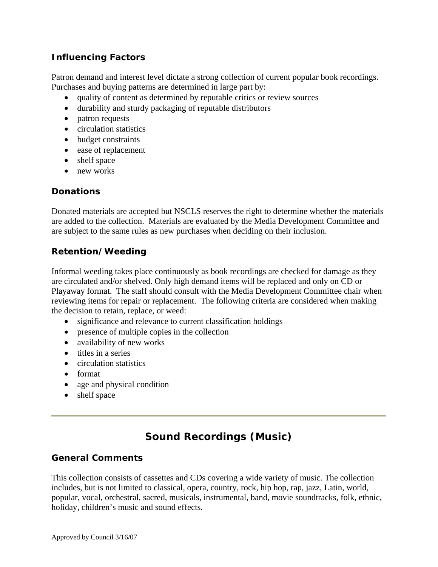### **Influencing Factors**

Patron demand and interest level dictate a strong collection of current popular book recordings. Purchases and buying patterns are determined in large part by:

- quality of content as determined by reputable critics or review sources
- durability and sturdy packaging of reputable distributors
- patron requests
- circulation statistics
- budget constraints
- ease of replacement
- shelf space
- new works

### **Donations**

Donated materials are accepted but NSCLS reserves the right to determine whether the materials are added to the collection. Materials are evaluated by the Media Development Committee and are subject to the same rules as new purchases when deciding on their inclusion.

### **Retention/Weeding**

Informal weeding takes place continuously as book recordings are checked for damage as they are circulated and/or shelved. Only high demand items will be replaced and only on CD or Playaway format. The staff should consult with the Media Development Committee chair when reviewing items for repair or replacement. The following criteria are considered when making the decision to retain, replace, or weed:

- significance and relevance to current classification holdings
- presence of multiple copies in the collection
- availability of new works
- titles in a series
- circulation statistics
- format
- age and physical condition
- shelf space

# **Sound Recordings (Music)**

#### **General Comments**

This collection consists of cassettes and CDs covering a wide variety of music. The collection includes, but is not limited to classical, opera, country, rock, hip hop, rap, jazz, Latin, world, popular, vocal, orchestral, sacred, musicals, instrumental, band, movie soundtracks, folk, ethnic, holiday, children's music and sound effects.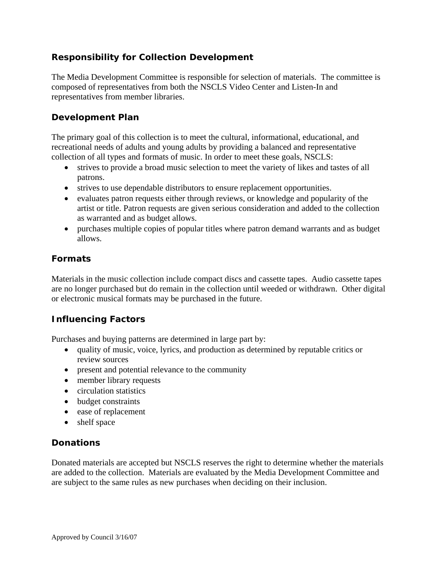### **Responsibility for Collection Development**

The Media Development Committee is responsible for selection of materials. The committee is composed of representatives from both the NSCLS Video Center and Listen-In and representatives from member libraries.

#### **Development Plan**

The primary goal of this collection is to meet the cultural, informational, educational, and recreational needs of adults and young adults by providing a balanced and representative collection of all types and formats of music. In order to meet these goals, NSCLS:

- strives to provide a broad music selection to meet the variety of likes and tastes of all patrons.
- strives to use dependable distributors to ensure replacement opportunities.
- evaluates patron requests either through reviews, or knowledge and popularity of the artist or title. Patron requests are given serious consideration and added to the collection as warranted and as budget allows.
- purchases multiple copies of popular titles where patron demand warrants and as budget allows.

#### **Formats**

Materials in the music collection include compact discs and cassette tapes. Audio cassette tapes are no longer purchased but do remain in the collection until weeded or withdrawn. Other digital or electronic musical formats may be purchased in the future.

#### **Influencing Factors**

Purchases and buying patterns are determined in large part by:

- quality of music, voice, lyrics, and production as determined by reputable critics or review sources
- present and potential relevance to the community
- member library requests
- circulation statistics
- budget constraints
- ease of replacement
- shelf space

#### **Donations**

Donated materials are accepted but NSCLS reserves the right to determine whether the materials are added to the collection. Materials are evaluated by the Media Development Committee and are subject to the same rules as new purchases when deciding on their inclusion.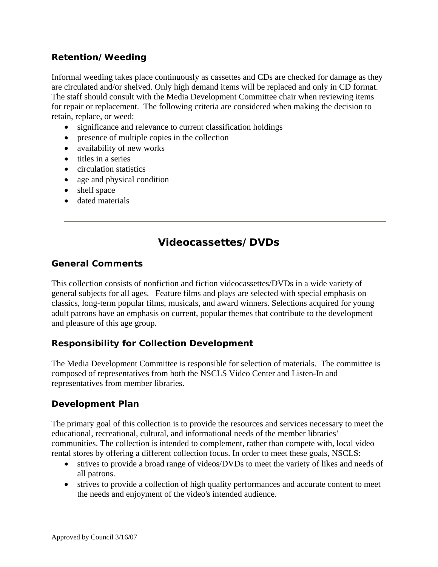### **Retention/Weeding**

Informal weeding takes place continuously as cassettes and CDs are checked for damage as they are circulated and/or shelved. Only high demand items will be replaced and only in CD format. The staff should consult with the Media Development Committee chair when reviewing items for repair or replacement. The following criteria are considered when making the decision to retain, replace, or weed:

- significance and relevance to current classification holdings
- presence of multiple copies in the collection
- availability of new works
- titles in a series
- circulation statistics
- age and physical condition
- shelf space
- dated materials

## **Videocassettes/DVDs**

#### **General Comments**

This collection consists of nonfiction and fiction videocassettes/DVDs in a wide variety of general subjects for all ages. Feature films and plays are selected with special emphasis on classics, long-term popular films, musicals, and award winners. Selections acquired for young adult patrons have an emphasis on current, popular themes that contribute to the development and pleasure of this age group.

#### **Responsibility for Collection Development**

The Media Development Committee is responsible for selection of materials. The committee is composed of representatives from both the NSCLS Video Center and Listen-In and representatives from member libraries.

#### **Development Plan**

The primary goal of this collection is to provide the resources and services necessary to meet the educational, recreational, cultural, and informational needs of the member libraries' communities. The collection is intended to complement, rather than compete with, local video rental stores by offering a different collection focus. In order to meet these goals, NSCLS:

- strives to provide a broad range of videos/DVDs to meet the variety of likes and needs of all patrons.
- strives to provide a collection of high quality performances and accurate content to meet the needs and enjoyment of the video's intended audience.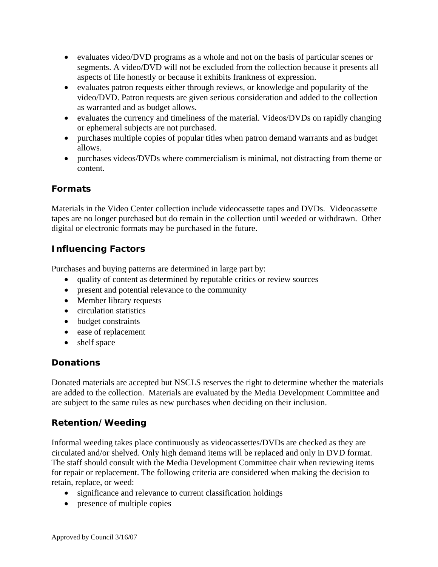- evaluates video/DVD programs as a whole and not on the basis of particular scenes or segments. A video/DVD will not be excluded from the collection because it presents all aspects of life honestly or because it exhibits frankness of expression.
- evaluates patron requests either through reviews, or knowledge and popularity of the video/DVD. Patron requests are given serious consideration and added to the collection as warranted and as budget allows.
- evaluates the currency and timeliness of the material. Videos/DVDs on rapidly changing or ephemeral subjects are not purchased.
- purchases multiple copies of popular titles when patron demand warrants and as budget allows.
- purchases videos/DVDs where commercialism is minimal, not distracting from theme or content.

## **Formats**

Materials in the Video Center collection include videocassette tapes and DVDs. Videocassette tapes are no longer purchased but do remain in the collection until weeded or withdrawn. Other digital or electronic formats may be purchased in the future.

## **Influencing Factors**

Purchases and buying patterns are determined in large part by:

- quality of content as determined by reputable critics or review sources
- present and potential relevance to the community
- Member library requests
- circulation statistics
- budget constraints
- ease of replacement
- shelf space

## **Donations**

Donated materials are accepted but NSCLS reserves the right to determine whether the materials are added to the collection. Materials are evaluated by the Media Development Committee and are subject to the same rules as new purchases when deciding on their inclusion.

## **Retention/Weeding**

Informal weeding takes place continuously as videocassettes/DVDs are checked as they are circulated and/or shelved. Only high demand items will be replaced and only in DVD format. The staff should consult with the Media Development Committee chair when reviewing items for repair or replacement. The following criteria are considered when making the decision to retain, replace, or weed:

- significance and relevance to current classification holdings
- presence of multiple copies